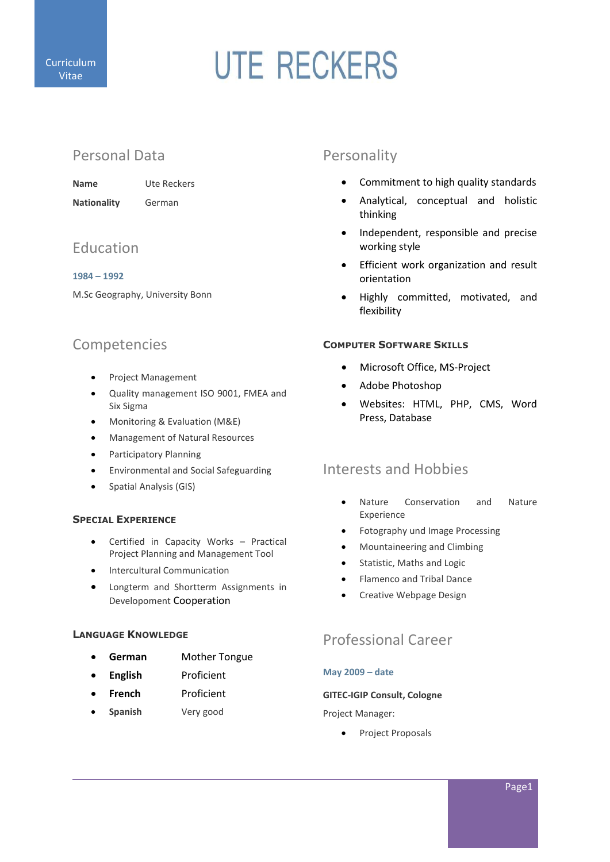

# **UTE RECKERS**

# Personal Data

Name Ute Reckers Nationality German

# Education

## 1984 – 1992

M.Sc Geography, University Bonn

# Competencies

- Project Management
- Quality management ISO 9001, FMEA and Six Sigma
- Monitoring & Evaluation (M&E)
- Management of Natural Resources
- **•** Participatory Planning
- Environmental and Social Safeguarding
- Spatial Analysis (GIS)

# SPECIAL EXPERIENCE

- Certified in Capacity Works Practical Project Planning and Management Tool
- Intercultural Communication
- Longterm and Shortterm Assignments in Developoment Cooperation

## LANGUAGE KNOWLEDGE

- German Mother Tongue
- English Proficient
- French Proficient
- Spanish Very good

# Personality

- Commitment to high quality standards
- Analytical, conceptual and holistic thinking
- Independent, responsible and precise working style
- Efficient work organization and result orientation
- Highly committed, motivated, and flexibility

# COMPUTER SOFTWARE SKILLS

- Microsoft Office, MS-Project
- Adobe Photoshop
- Websites: HTML, PHP, CMS, Word Press, Database

# Interests and Hobbies

- Nature Conservation and Nature Experience
- Fotography und Image Processing
- Mountaineering and Climbing
- Statistic, Maths and Logic
- Flamenco and Tribal Dance
- **•** Creative Webpage Design

# Professional Career

# May 2009 – date

## GITEC-IGIP Consult, Cologne

Project Manager:

• Project Proposals